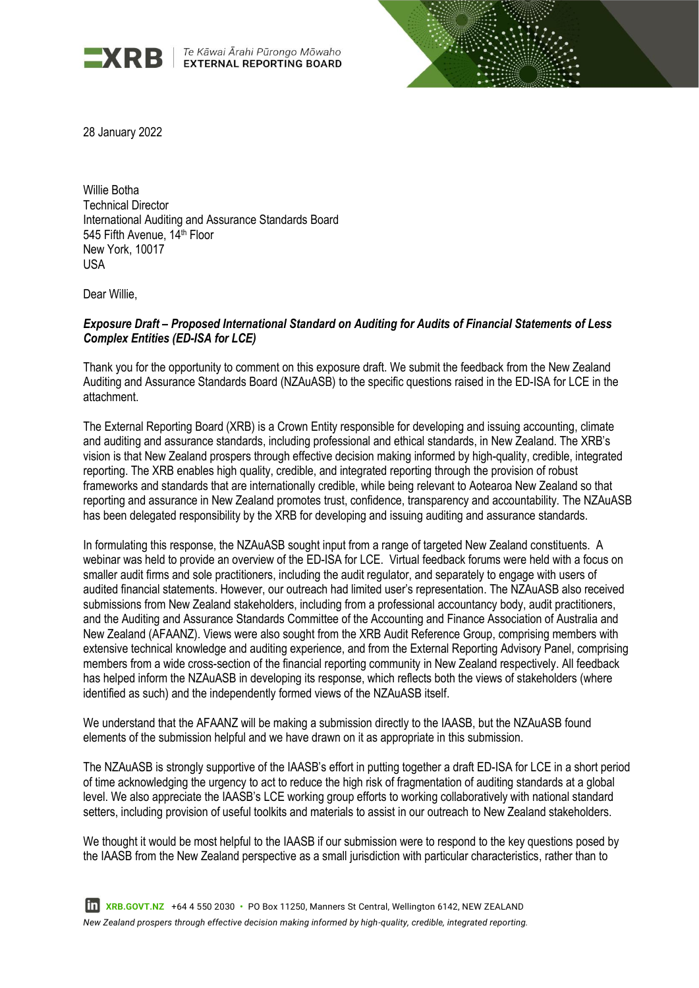

**EXRB** EXTERNAL REPORTING BOARD



28 January 2022

Willie Botha Technical Director International Auditing and Assurance Standards Board 545 Fifth Avenue, 14<sup>th</sup> Floor New York, 10017 USA

Dear Willie,

## *Exposure Draft – Proposed International Standard on Auditing for Audits of Financial Statements of Less Complex Entities (ED-ISA for LCE)*

Thank you for the opportunity to comment on this exposure draft. We submit the feedback from the New Zealand Auditing and Assurance Standards Board (NZAuASB) to the specific questions raised in the ED-ISA for LCE in the attachment.

The External Reporting Board (XRB) is a Crown Entity responsible for developing and issuing accounting, climate and auditing and assurance standards, including professional and ethical standards, in New Zealand. The XRB's vision is that New Zealand prospers through effective decision making informed by high-quality, credible, integrated reporting. The XRB enables high quality, credible, and integrated reporting through the provision of robust frameworks and standards that are internationally credible, while being relevant to Aotearoa New Zealand so that reporting and assurance in New Zealand promotes trust, confidence, transparency and accountability. The NZAuASB has been delegated responsibility by the XRB for developing and issuing auditing and assurance standards.

In formulating this response, the NZAuASB sought input from a range of targeted New Zealand constituents. A webinar was held to provide an overview of the ED-ISA for LCE. Virtual feedback forums were held with a focus on smaller audit firms and sole practitioners, including the audit regulator, and separately to engage with users of audited financial statements. However, our outreach had limited user's representation. The NZAuASB also received submissions from New Zealand stakeholders, including from a professional accountancy body, audit practitioners, and the Auditing and Assurance Standards Committee of the Accounting and Finance Association of Australia and New Zealand (AFAANZ). Views were also sought from the XRB Audit Reference Group, comprising members with extensive technical knowledge and auditing experience, and from the External Reporting Advisory Panel, comprising members from a wide cross-section of the financial reporting community in New Zealand respectively. All feedback has helped inform the NZAuASB in developing its response, which reflects both the views of stakeholders (where identified as such) and the independently formed views of the NZAuASB itself.

We understand that the AFAANZ will be making a submission directly to the IAASB, but the NZAuASB found elements of the submission helpful and we have drawn on it as appropriate in this submission.

The NZAuASB is strongly supportive of the IAASB's effort in putting together a draft ED-ISA for LCE in a short period of time acknowledging the urgency to act to reduce the high risk of fragmentation of auditing standards at a global level. We also appreciate the IAASB's LCE working group efforts to working collaboratively with national standard setters, including provision of useful toolkits and materials to assist in our outreach to New Zealand stakeholders.

We thought it would be most helpful to the IAASB if our submission were to respond to the key questions posed by the IAASB from the New Zealand perspective as a small jurisdiction with particular characteristics, rather than to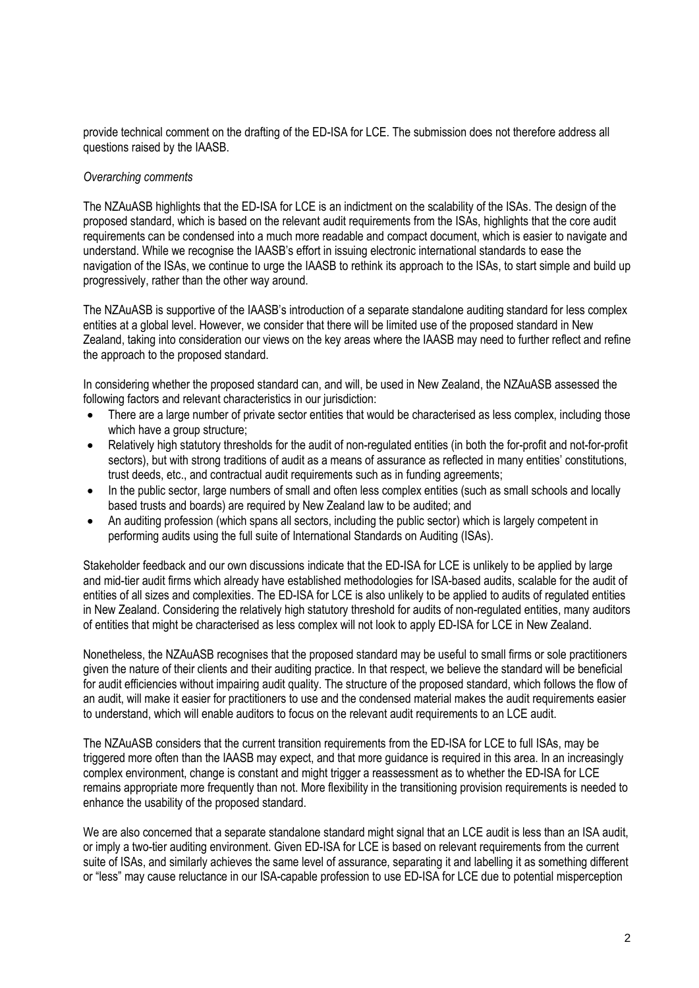provide technical comment on the drafting of the ED-ISA for LCE. The submission does not therefore address all questions raised by the IAASB.

## *Overarching comments*

The NZAuASB highlights that the ED-ISA for LCE is an indictment on the scalability of the ISAs. The design of the proposed standard, which is based on the relevant audit requirements from the ISAs, highlights that the core audit requirements can be condensed into a much more readable and compact document, which is easier to navigate and understand. While we recognise the IAASB's effort in issuing electronic international standards to ease the navigation of the ISAs, we continue to urge the IAASB to rethink its approach to the ISAs, to start simple and build up progressively, rather than the other way around.

The NZAuASB is supportive of the IAASB's introduction of a separate standalone auditing standard for less complex entities at a global level. However, we consider that there will be limited use of the proposed standard in New Zealand, taking into consideration our views on the key areas where the IAASB may need to further reflect and refine the approach to the proposed standard.

In considering whether the proposed standard can, and will, be used in New Zealand, the NZAuASB assessed the following factors and relevant characteristics in our jurisdiction:

- There are a large number of private sector entities that would be characterised as less complex, including those which have a group structure;
- Relatively high statutory thresholds for the audit of non-regulated entities (in both the for-profit and not-for-profit sectors), but with strong traditions of audit as a means of assurance as reflected in many entities' constitutions, trust deeds, etc., and contractual audit requirements such as in funding agreements;
- In the public sector, large numbers of small and often less complex entities (such as small schools and locally based trusts and boards) are required by New Zealand law to be audited; and
- An auditing profession (which spans all sectors, including the public sector) which is largely competent in performing audits using the full suite of International Standards on Auditing (ISAs).

Stakeholder feedback and our own discussions indicate that the ED-ISA for LCE is unlikely to be applied by large and mid-tier audit firms which already have established methodologies for ISA-based audits, scalable for the audit of entities of all sizes and complexities. The ED-ISA for LCE is also unlikely to be applied to audits of regulated entities in New Zealand. Considering the relatively high statutory threshold for audits of non-regulated entities, many auditors of entities that might be characterised as less complex will not look to apply ED-ISA for LCE in New Zealand.

Nonetheless, the NZAuASB recognises that the proposed standard may be useful to small firms or sole practitioners given the nature of their clients and their auditing practice. In that respect, we believe the standard will be beneficial for audit efficiencies without impairing audit quality. The structure of the proposed standard, which follows the flow of an audit, will make it easier for practitioners to use and the condensed material makes the audit requirements easier to understand, which will enable auditors to focus on the relevant audit requirements to an LCE audit.

The NZAuASB considers that the current transition requirements from the ED-ISA for LCE to full ISAs, may be triggered more often than the IAASB may expect, and that more guidance is required in this area. In an increasingly complex environment, change is constant and might trigger a reassessment as to whether the ED-ISA for LCE remains appropriate more frequently than not. More flexibility in the transitioning provision requirements is needed to enhance the usability of the proposed standard.

We are also concerned that a separate standalone standard might signal that an LCE audit is less than an ISA audit, or imply a two-tier auditing environment. Given ED-ISA for LCE is based on relevant requirements from the current suite of ISAs, and similarly achieves the same level of assurance, separating it and labelling it as something different or "less" may cause reluctance in our ISA-capable profession to use ED-ISA for LCE due to potential misperception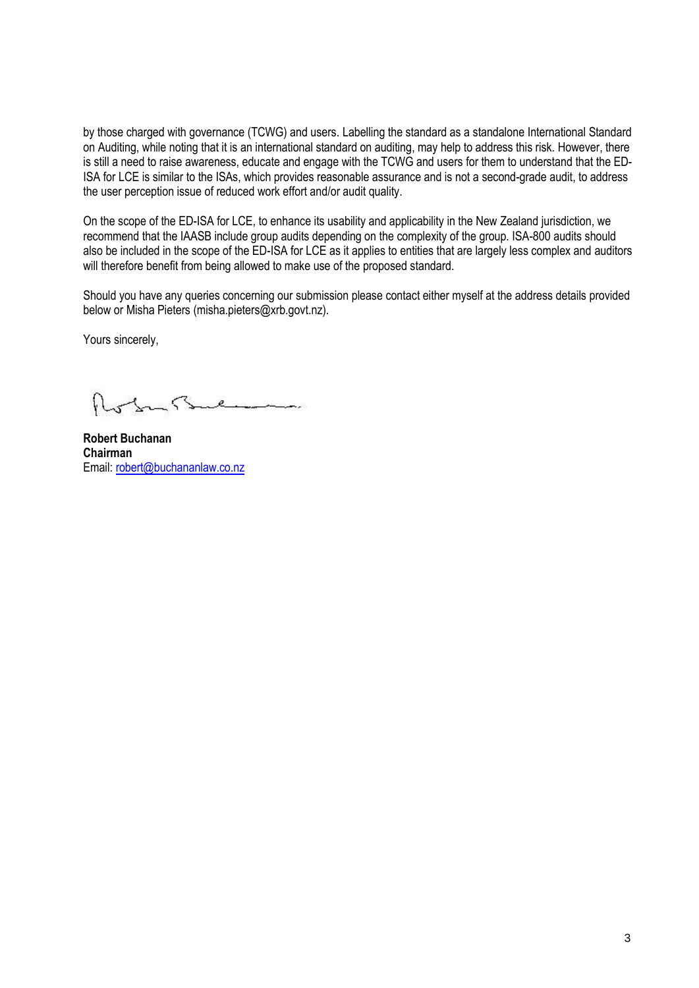by those charged with governance (TCWG) and users. Labelling the standard as a standalone International Standard on Auditing, while noting that it is an international standard on auditing, may help to address this risk. However, there is still a need to raise awareness, educate and engage with the TCWG and users for them to understand that the ED-ISA for LCE is similar to the ISAs, which provides reasonable assurance and is not a second-grade audit, to address the user perception issue of reduced work effort and/or audit quality.

On the scope of the ED-ISA for LCE, to enhance its usability and applicability in the New Zealand jurisdiction, we recommend that the IAASB include group audits depending on the complexity of the group. ISA-800 audits should also be included in the scope of the ED-ISA for LCE as it applies to entities that are largely less complex and auditors will therefore benefit from being allowed to make use of the proposed standard.

Should you have any queries concerning our submission please contact either myself at the address details provided below or Misha Pieters (misha.pieters@xrb.govt.nz).

Yours sincerely,

 $\epsilon$ <u>and a substantial property of the set of the set of the set of the set of the set of the set of the set of the set of the set of the set of the set of the set of the set of the set of the set of the set of the set of the </u>  $\varsigma$ 

**Robert Buchanan Chairman** Email: robert@buchananlaw.co.nz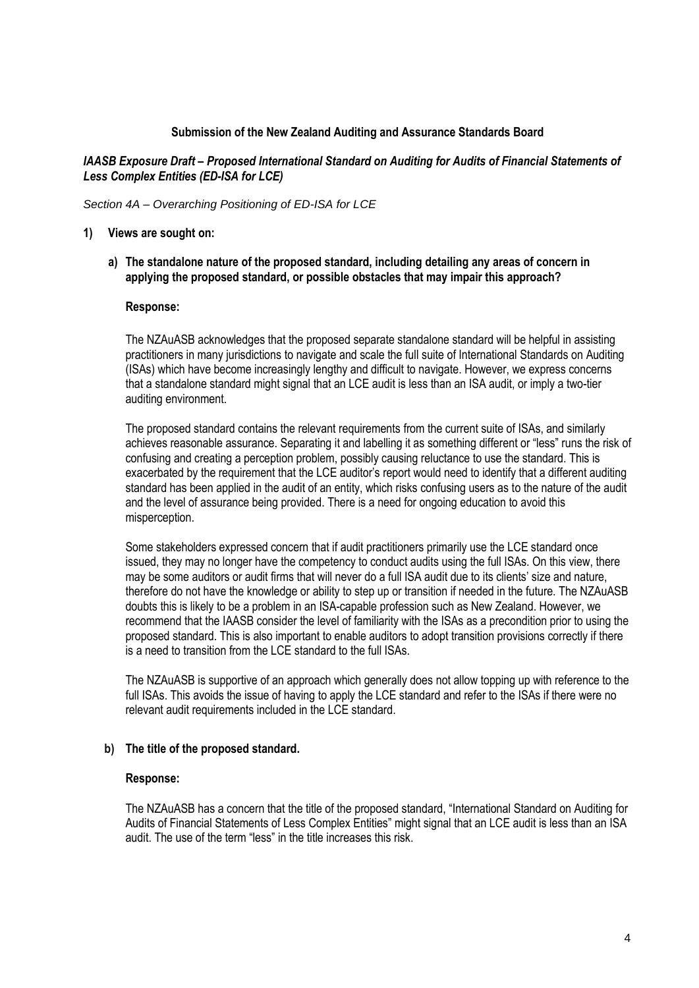## **Submission of the New Zealand Auditing and Assurance Standards Board**

## *IAASB Exposure Draft – Proposed International Standard on Auditing for Audits of Financial Statements of Less Complex Entities (ED-ISA for LCE)*

#### *Section 4A – Overarching Positioning of ED-ISA for LCE*

#### **1) Views are sought on:**

**a) The standalone nature of the proposed standard, including detailing any areas of concern in applying the proposed standard, or possible obstacles that may impair this approach?**

#### **Response:**

The NZAuASB acknowledges that the proposed separate standalone standard will be helpful in assisting practitioners in many jurisdictions to navigate and scale the full suite of International Standards on Auditing (ISAs) which have become increasingly lengthy and difficult to navigate. However, we express concerns that a standalone standard might signal that an LCE audit is less than an ISA audit, or imply a two-tier auditing environment.

The proposed standard contains the relevant requirements from the current suite of ISAs, and similarly achieves reasonable assurance. Separating it and labelling it as something different or "less" runs the risk of confusing and creating a perception problem, possibly causing reluctance to use the standard. This is exacerbated by the requirement that the LCE auditor's report would need to identify that a different auditing standard has been applied in the audit of an entity, which risks confusing users as to the nature of the audit and the level of assurance being provided. There is a need for ongoing education to avoid this misperception.

Some stakeholders expressed concern that if audit practitioners primarily use the LCE standard once issued, they may no longer have the competency to conduct audits using the full ISAs. On this view, there may be some auditors or audit firms that will never do a full ISA audit due to its clients' size and nature, therefore do not have the knowledge or ability to step up or transition if needed in the future. The NZAuASB doubts this is likely to be a problem in an ISA-capable profession such as New Zealand. However, we recommend that the IAASB consider the level of familiarity with the ISAs as a precondition prior to using the proposed standard. This is also important to enable auditors to adopt transition provisions correctly if there is a need to transition from the LCE standard to the full ISAs.

The NZAuASB is supportive of an approach which generally does not allow topping up with reference to the full ISAs. This avoids the issue of having to apply the LCE standard and refer to the ISAs if there were no relevant audit requirements included in the LCE standard.

#### **b) The title of the proposed standard.**

#### **Response:**

The NZAuASB has a concern that the title of the proposed standard, "International Standard on Auditing for Audits of Financial Statements of Less Complex Entities" might signal that an LCE audit is less than an ISA audit. The use of the term "less" in the title increases this risk.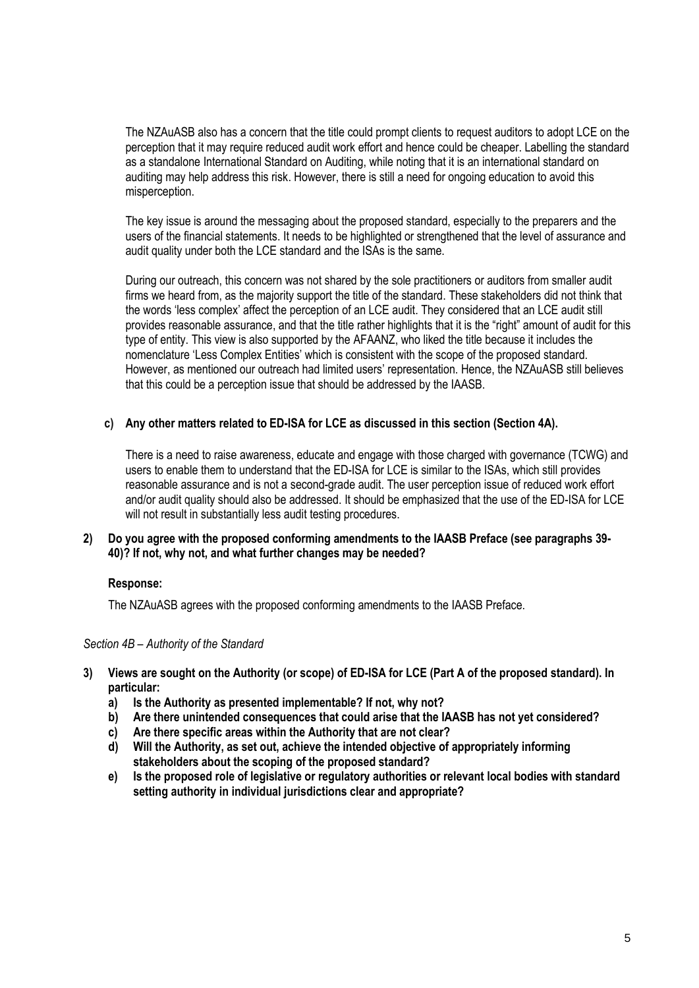The NZAuASB also has a concern that the title could prompt clients to request auditors to adopt LCE on the perception that it may require reduced audit work effort and hence could be cheaper. Labelling the standard as a standalone International Standard on Auditing, while noting that it is an international standard on auditing may help address this risk. However, there is still a need for ongoing education to avoid this misperception.

The key issue is around the messaging about the proposed standard, especially to the preparers and the users of the financial statements. It needs to be highlighted or strengthened that the level of assurance and audit quality under both the LCE standard and the ISAs is the same.

During our outreach, this concern was not shared by the sole practitioners or auditors from smaller audit firms we heard from, as the majority support the title of the standard. These stakeholders did not think that the words 'less complex' affect the perception of an LCE audit. They considered that an LCE audit still provides reasonable assurance, and that the title rather highlights that it is the "right" amount of audit for this type of entity. This view is also supported by the AFAANZ, who liked the title because it includes the nomenclature 'Less Complex Entities' which is consistent with the scope of the proposed standard. However, as mentioned our outreach had limited users' representation. Hence, the NZAuASB still believes that this could be a perception issue that should be addressed by the IAASB.

## **c) Any other matters related to ED-ISA for LCE as discussed in this section (Section 4A).**

There is a need to raise awareness, educate and engage with those charged with governance (TCWG) and users to enable them to understand that the ED-ISA for LCE is similar to the ISAs, which still provides reasonable assurance and is not a second-grade audit. The user perception issue of reduced work effort and/or audit quality should also be addressed. It should be emphasized that the use of the ED-ISA for LCE will not result in substantially less audit testing procedures.

## **2) Do you agree with the proposed conforming amendments to the IAASB Preface (see paragraphs 39- 40)? If not, why not, and what further changes may be needed?**

#### **Response:**

The NZAuASB agrees with the proposed conforming amendments to the IAASB Preface.

#### *Section 4B – Authority of the Standard*

- **3) Views are sought on the Authority (or scope) of ED-ISA for LCE (Part A of the proposed standard). In particular:**
	- **a) Is the Authority as presented implementable? If not, why not?**
	- **b) Are there unintended consequences that could arise that the IAASB has not yet considered?**
	- **c) Are there specific areas within the Authority that are not clear?**
	- **d) Will the Authority, as set out, achieve the intended objective of appropriately informing stakeholders about the scoping of the proposed standard?**
	- **e) Is the proposed role of legislative or regulatory authorities or relevant local bodies with standard setting authority in individual jurisdictions clear and appropriate?**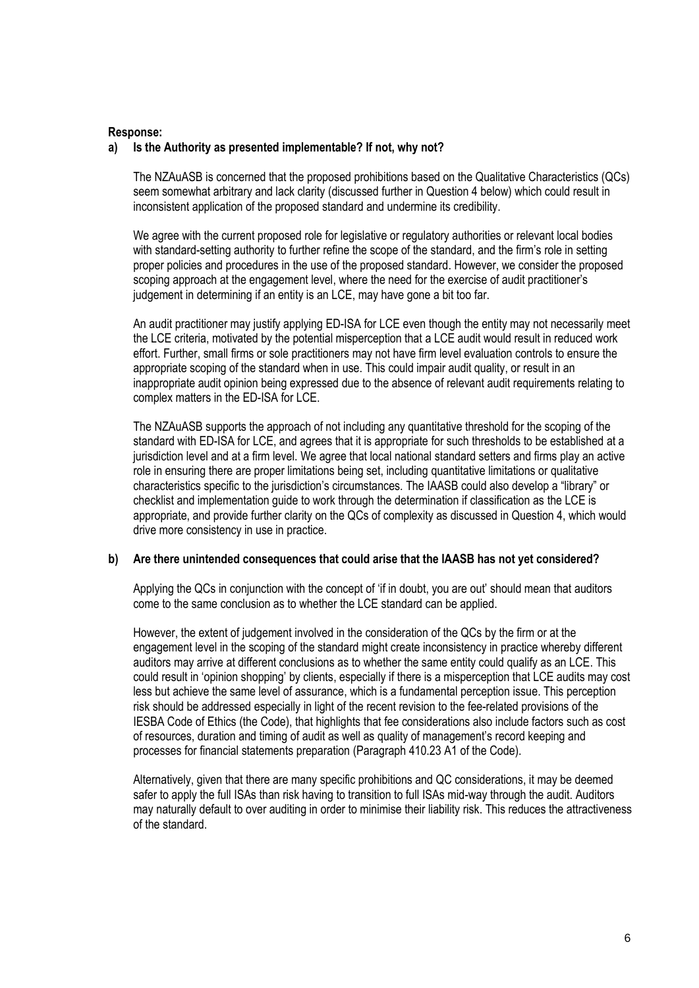#### **Response:**

## **a) Is the Authority as presented implementable? If not, why not?**

The NZAuASB is concerned that the proposed prohibitions based on the Qualitative Characteristics (QCs) seem somewhat arbitrary and lack clarity (discussed further in Question 4 below) which could result in inconsistent application of the proposed standard and undermine its credibility.

We agree with the current proposed role for legislative or regulatory authorities or relevant local bodies with standard-setting authority to further refine the scope of the standard, and the firm's role in setting proper policies and procedures in the use of the proposed standard. However, we consider the proposed scoping approach at the engagement level, where the need for the exercise of audit practitioner's judgement in determining if an entity is an LCE, may have gone a bit too far.

An audit practitioner may justify applying ED-ISA for LCE even though the entity may not necessarily meet the LCE criteria, motivated by the potential misperception that a LCE audit would result in reduced work effort. Further, small firms or sole practitioners may not have firm level evaluation controls to ensure the appropriate scoping of the standard when in use. This could impair audit quality, or result in an inappropriate audit opinion being expressed due to the absence of relevant audit requirements relating to complex matters in the ED-ISA for LCE.

The NZAuASB supports the approach of not including any quantitative threshold for the scoping of the standard with ED-ISA for LCE, and agrees that it is appropriate for such thresholds to be established at a jurisdiction level and at a firm level. We agree that local national standard setters and firms play an active role in ensuring there are proper limitations being set, including quantitative limitations or qualitative characteristics specific to the jurisdiction's circumstances. The IAASB could also develop a "library" or checklist and implementation guide to work through the determination if classification as the LCE is appropriate, and provide further clarity on the QCs of complexity as discussed in Question 4, which would drive more consistency in use in practice.

#### **b) Are there unintended consequences that could arise that the IAASB has not yet considered?**

Applying the QCs in conjunction with the concept of 'if in doubt, you are out' should mean that auditors come to the same conclusion as to whether the LCE standard can be applied.

However, the extent of judgement involved in the consideration of the QCs by the firm or at the engagement level in the scoping of the standard might create inconsistency in practice whereby different auditors may arrive at different conclusions as to whether the same entity could qualify as an LCE. This could result in 'opinion shopping' by clients, especially if there is a misperception that LCE audits may cost less but achieve the same level of assurance, which is a fundamental perception issue. This perception risk should be addressed especially in light of the recent revision to the fee-related provisions of the IESBA Code of Ethics (the Code), that highlights that fee considerations also include factors such as cost of resources, duration and timing of audit as well as quality of management's record keeping and processes for financial statements preparation (Paragraph 410.23 A1 of the Code).

Alternatively, given that there are many specific prohibitions and QC considerations, it may be deemed safer to apply the full ISAs than risk having to transition to full ISAs mid-way through the audit. Auditors may naturally default to over auditing in order to minimise their liability risk. This reduces the attractiveness of the standard.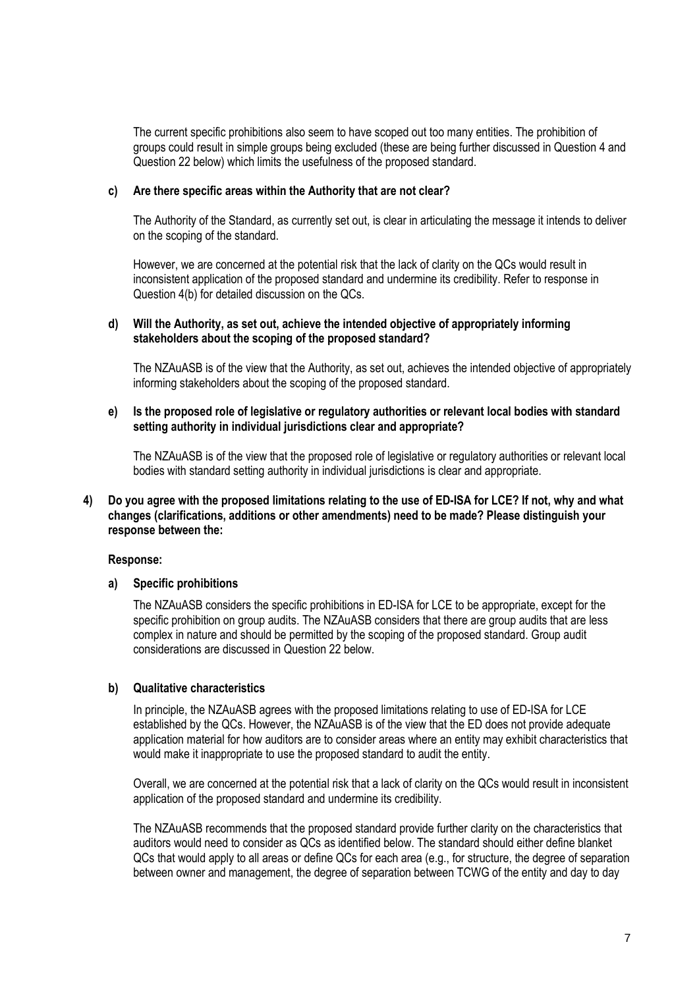The current specific prohibitions also seem to have scoped out too many entities. The prohibition of groups could result in simple groups being excluded (these are being further discussed in Question 4 and Question 22 below) which limits the usefulness of the proposed standard.

#### **c) Are there specific areas within the Authority that are not clear?**

The Authority of the Standard, as currently set out, is clear in articulating the message it intends to deliver on the scoping of the standard.

However, we are concerned at the potential risk that the lack of clarity on the QCs would result in inconsistent application of the proposed standard and undermine its credibility. Refer to response in Question 4(b) for detailed discussion on the QCs.

#### **d) Will the Authority, as set out, achieve the intended objective of appropriately informing stakeholders about the scoping of the proposed standard?**

The NZAuASB is of the view that the Authority, as set out, achieves the intended objective of appropriately informing stakeholders about the scoping of the proposed standard.

#### **e) Is the proposed role of legislative or regulatory authorities or relevant local bodies with standard setting authority in individual jurisdictions clear and appropriate?**

The NZAuASB is of the view that the proposed role of legislative or regulatory authorities or relevant local bodies with standard setting authority in individual jurisdictions is clear and appropriate.

#### **4) Do you agree with the proposed limitations relating to the use of ED-ISA for LCE? If not, why and what changes (clarifications, additions or other amendments) need to be made? Please distinguish your response between the:**

#### **Response:**

#### **a) Specific prohibitions**

The NZAuASB considers the specific prohibitions in ED-ISA for LCE to be appropriate, except for the specific prohibition on group audits. The NZAuASB considers that there are group audits that are less complex in nature and should be permitted by the scoping of the proposed standard. Group audit considerations are discussed in Question 22 below.

#### **b) Qualitative characteristics**

In principle, the NZAuASB agrees with the proposed limitations relating to use of ED-ISA for LCE established by the QCs. However, the NZAuASB is of the view that the ED does not provide adequate application material for how auditors are to consider areas where an entity may exhibit characteristics that would make it inappropriate to use the proposed standard to audit the entity.

Overall, we are concerned at the potential risk that a lack of clarity on the QCs would result in inconsistent application of the proposed standard and undermine its credibility.

The NZAuASB recommends that the proposed standard provide further clarity on the characteristics that auditors would need to consider as QCs as identified below. The standard should either define blanket QCs that would apply to all areas or define QCs for each area (e.g., for structure, the degree of separation between owner and management, the degree of separation between TCWG of the entity and day to day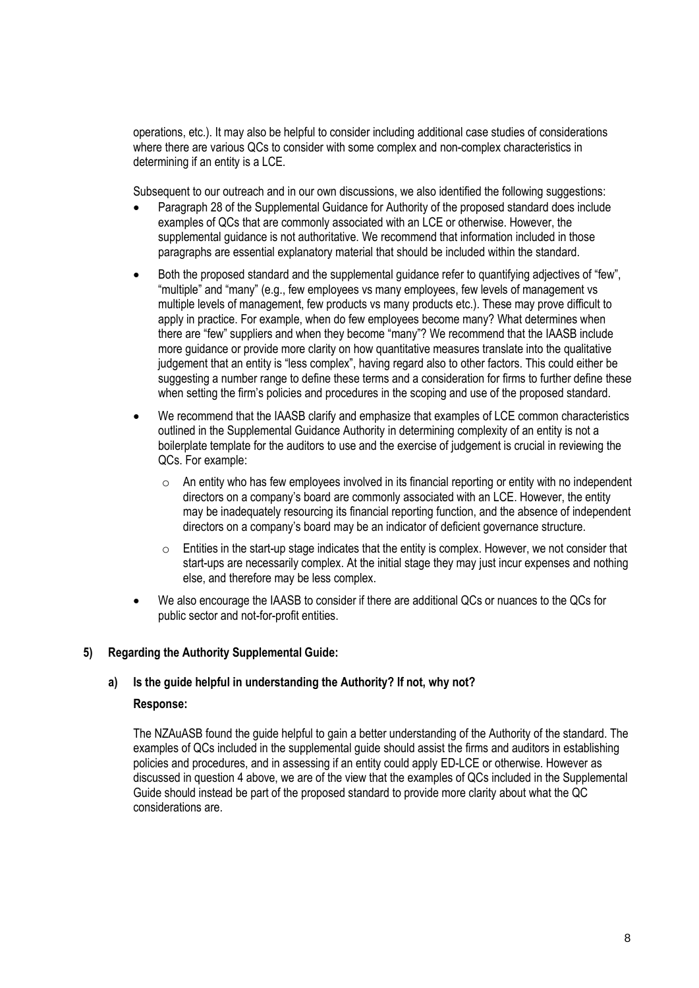operations, etc.). It may also be helpful to consider including additional case studies of considerations where there are various QCs to consider with some complex and non-complex characteristics in determining if an entity is a LCE.

Subsequent to our outreach and in our own discussions, we also identified the following suggestions:

- Paragraph 28 of the Supplemental Guidance for Authority of the proposed standard does include examples of QCs that are commonly associated with an LCE or otherwise. However, the supplemental guidance is not authoritative. We recommend that information included in those paragraphs are essential explanatory material that should be included within the standard.
- Both the proposed standard and the supplemental guidance refer to quantifying adjectives of "few", "multiple" and "many" (e.g., few employees vs many employees, few levels of management vs multiple levels of management, few products vs many products etc.). These may prove difficult to apply in practice. For example, when do few employees become many? What determines when there are "few" suppliers and when they become "many"? We recommend that the IAASB include more guidance or provide more clarity on how quantitative measures translate into the qualitative judgement that an entity is "less complex", having regard also to other factors. This could either be suggesting a number range to define these terms and a consideration for firms to further define these when setting the firm's policies and procedures in the scoping and use of the proposed standard.
- We recommend that the IAASB clarify and emphasize that examples of LCE common characteristics outlined in the Supplemental Guidance Authority in determining complexity of an entity is not a boilerplate template for the auditors to use and the exercise of judgement is crucial in reviewing the QCs. For example:
	- $\circ$  An entity who has few employees involved in its financial reporting or entity with no independent directors on a company's board are commonly associated with an LCE. However, the entity may be inadequately resourcing its financial reporting function, and the absence of independent directors on a company's board may be an indicator of deficient governance structure.
	- $\circ$  Entities in the start-up stage indicates that the entity is complex. However, we not consider that start-ups are necessarily complex. At the initial stage they may just incur expenses and nothing else, and therefore may be less complex.
- We also encourage the IAASB to consider if there are additional QCs or nuances to the QCs for public sector and not-for-profit entities.

#### **5) Regarding the Authority Supplemental Guide:**

#### **a) Is the guide helpful in understanding the Authority? If not, why not?**

#### **Response:**

The NZAuASB found the guide helpful to gain a better understanding of the Authority of the standard. The examples of QCs included in the supplemental guide should assist the firms and auditors in establishing policies and procedures, and in assessing if an entity could apply ED-LCE or otherwise. However as discussed in question 4 above, we are of the view that the examples of QCs included in the Supplemental Guide should instead be part of the proposed standard to provide more clarity about what the QC considerations are.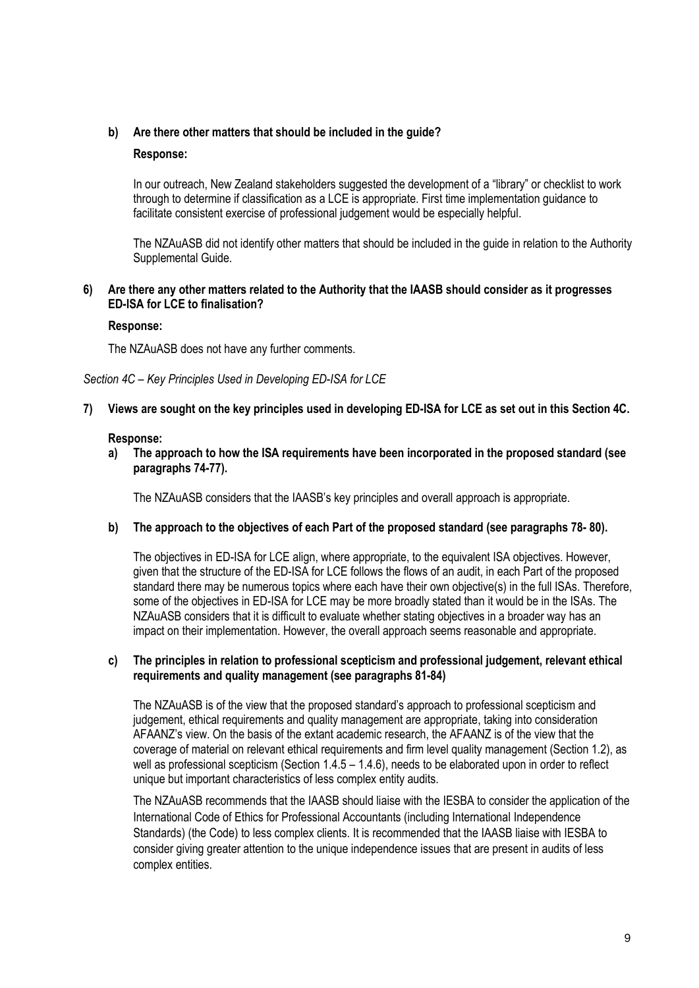## **b) Are there other matters that should be included in the guide?**

#### **Response:**

In our outreach, New Zealand stakeholders suggested the development of a "library" or checklist to work through to determine if classification as a LCE is appropriate. First time implementation guidance to facilitate consistent exercise of professional judgement would be especially helpful.

The NZAuASB did not identify other matters that should be included in the guide in relation to the Authority Supplemental Guide.

## **6) Are there any other matters related to the Authority that the IAASB should consider as it progresses ED-ISA for LCE to finalisation?**

## **Response:**

The NZAuASB does not have any further comments.

*Section 4C – Key Principles Used in Developing ED-ISA for LCE*

**7) Views are sought on the key principles used in developing ED-ISA for LCE as set out in this Section 4C.** 

## **Response:**

**a) The approach to how the ISA requirements have been incorporated in the proposed standard (see paragraphs 74-77).** 

The NZAuASB considers that the IAASB's key principles and overall approach is appropriate.

**b) The approach to the objectives of each Part of the proposed standard (see paragraphs 78- 80).** 

The objectives in ED-ISA for LCE align, where appropriate, to the equivalent ISA objectives. However, given that the structure of the ED-ISA for LCE follows the flows of an audit, in each Part of the proposed standard there may be numerous topics where each have their own objective(s) in the full ISAs. Therefore, some of the objectives in ED-ISA for LCE may be more broadly stated than it would be in the ISAs. The NZAuASB considers that it is difficult to evaluate whether stating objectives in a broader way has an impact on their implementation. However, the overall approach seems reasonable and appropriate.

## **c) The principles in relation to professional scepticism and professional judgement, relevant ethical requirements and quality management (see paragraphs 81-84)**

The NZAuASB is of the view that the proposed standard's approach to professional scepticism and judgement, ethical requirements and quality management are appropriate, taking into consideration AFAANZ's view. On the basis of the extant academic research, the AFAANZ is of the view that the coverage of material on relevant ethical requirements and firm level quality management (Section 1.2), as well as professional scepticism (Section 1.4.5 – 1.4.6), needs to be elaborated upon in order to reflect unique but important characteristics of less complex entity audits.

The NZAuASB recommends that the IAASB should liaise with the IESBA to consider the application of the International Code of Ethics for Professional Accountants (including International Independence Standards) (the Code) to less complex clients. It is recommended that the IAASB liaise with IESBA to consider giving greater attention to the unique independence issues that are present in audits of less complex entities.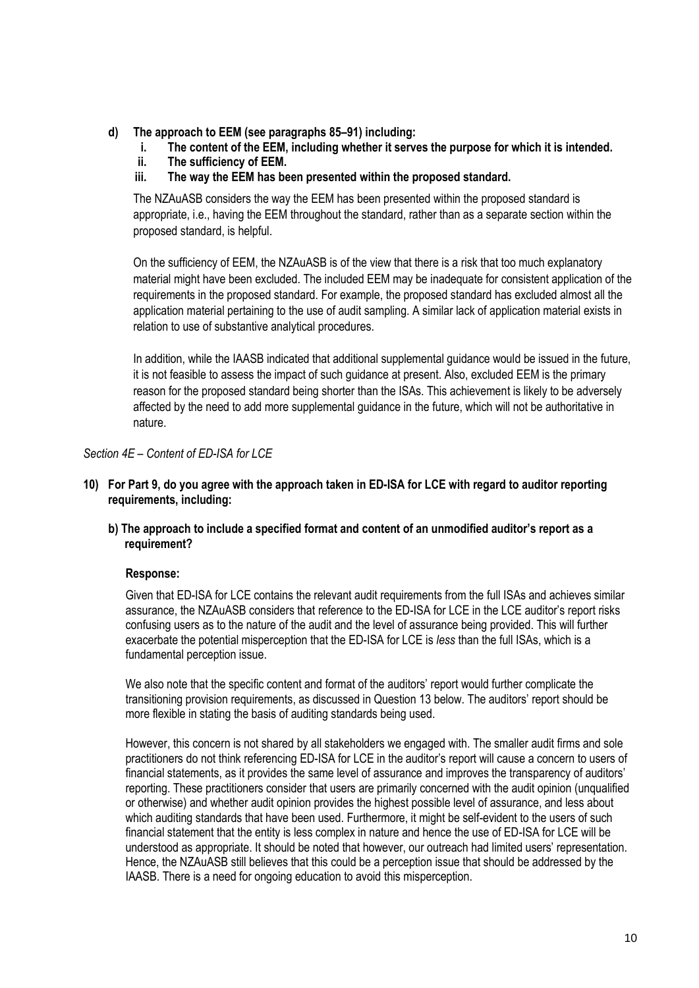## **d) The approach to EEM (see paragraphs 85–91) including:**

- **i. The content of the EEM, including whether it serves the purpose for which it is intended.**
- **ii. The sufficiency of EEM.**
- **iii. The way the EEM has been presented within the proposed standard.**

The NZAuASB considers the way the EEM has been presented within the proposed standard is appropriate, i.e., having the EEM throughout the standard, rather than as a separate section within the proposed standard, is helpful.

On the sufficiency of EEM, the NZAuASB is of the view that there is a risk that too much explanatory material might have been excluded. The included EEM may be inadequate for consistent application of the requirements in the proposed standard. For example, the proposed standard has excluded almost all the application material pertaining to the use of audit sampling. A similar lack of application material exists in relation to use of substantive analytical procedures.

In addition, while the IAASB indicated that additional supplemental guidance would be issued in the future, it is not feasible to assess the impact of such guidance at present. Also, excluded EEM is the primary reason for the proposed standard being shorter than the ISAs. This achievement is likely to be adversely affected by the need to add more supplemental guidance in the future, which will not be authoritative in nature.

## *Section 4E – Content of ED-ISA for LCE*

- **10) For Part 9, do you agree with the approach taken in ED-ISA for LCE with regard to auditor reporting requirements, including:**
	- **b) The approach to include a specified format and content of an unmodified auditor's report as a requirement?**

#### **Response:**

Given that ED-ISA for LCE contains the relevant audit requirements from the full ISAs and achieves similar assurance, the NZAuASB considers that reference to the ED-ISA for LCE in the LCE auditor's report risks confusing users as to the nature of the audit and the level of assurance being provided. This will further exacerbate the potential misperception that the ED-ISA for LCE is *less* than the full ISAs, which is a fundamental perception issue.

We also note that the specific content and format of the auditors' report would further complicate the transitioning provision requirements, as discussed in Question 13 below. The auditors' report should be more flexible in stating the basis of auditing standards being used.

However, this concern is not shared by all stakeholders we engaged with. The smaller audit firms and sole practitioners do not think referencing ED-ISA for LCE in the auditor's report will cause a concern to users of financial statements, as it provides the same level of assurance and improves the transparency of auditors' reporting. These practitioners consider that users are primarily concerned with the audit opinion (unqualified or otherwise) and whether audit opinion provides the highest possible level of assurance, and less about which auditing standards that have been used. Furthermore, it might be self-evident to the users of such financial statement that the entity is less complex in nature and hence the use of ED-ISA for LCE will be understood as appropriate. It should be noted that however, our outreach had limited users' representation. Hence, the NZAuASB still believes that this could be a perception issue that should be addressed by the IAASB. There is a need for ongoing education to avoid this misperception.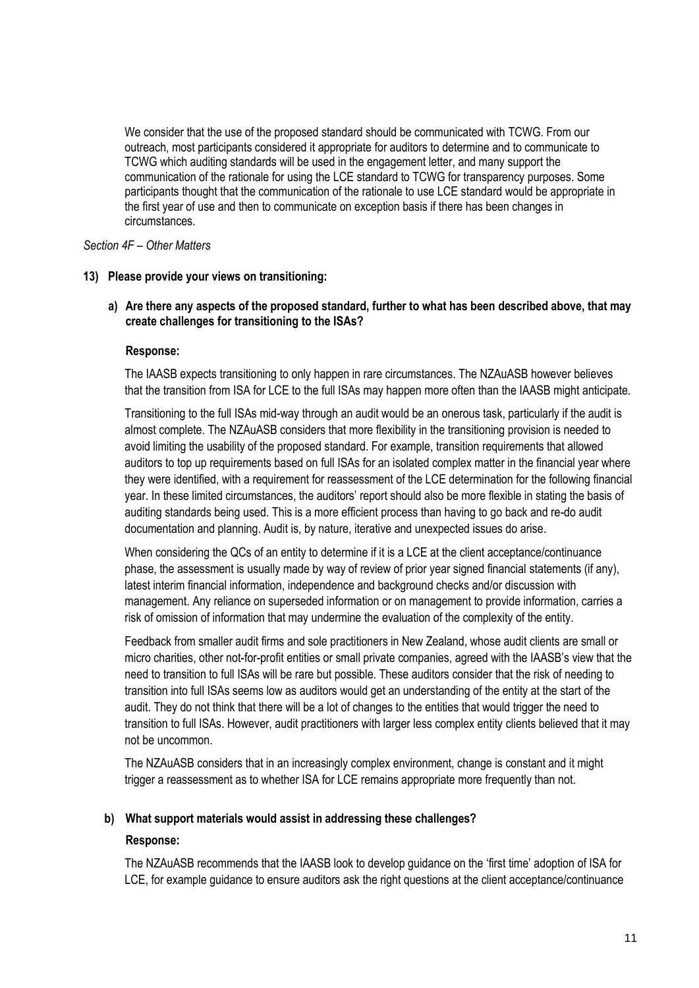We consider that the use of the proposed standard should be communicated with TCWG. From our outreach, most participants considered it appropriate for auditors to determine and to communicate to TCWG which auditing standards will be used in the engagement letter, and many support the communication of the rationale for using the LCE standard to TCWG for transparency purposes. Some participants thought that the communication of the rationale to use LCE standard would be appropriate in the first year of use and then to communicate on exception basis if there has been changes in circumstances.

## *Section 4F – Other Matters*

## **13) Please provide your views on transitioning:**

**a) Are there any aspects of the proposed standard, further to what has been described above, that may create challenges for transitioning to the ISAs?**

## **Response:**

The IAASB expects transitioning to only happen in rare circumstances. The NZAuASB however believes that the transition from ISA for LCE to the full ISAs may happen more often than the IAASB might anticipate.

Transitioning to the full ISAs mid-way through an audit would be an onerous task, particularly if the audit is almost complete. The NZAuASB considers that more flexibility in the transitioning provision is needed to avoid limiting the usability of the proposed standard. For example, transition requirements that allowed auditors to top up requirements based on full ISAs for an isolated complex matter in the financial year where they were identified, with a requirement for reassessment of the LCE determination for the following financial year. In these limited circumstances, the auditors' report should also be more flexible in stating the basis of auditing standards being used. This is a more efficient process than having to go back and re-do audit documentation and planning. Audit is, by nature, iterative and unexpected issues do arise.

When considering the QCs of an entity to determine if it is a LCE at the client acceptance/continuance phase, the assessment is usually made by way of review of prior year signed financial statements (if any), latest interim financial information, independence and background checks and/or discussion with management. Any reliance on superseded information or on management to provide information, carries a risk of omission of information that may undermine the evaluation of the complexity of the entity.

Feedback from smaller audit firms and sole practitioners in New Zealand, whose audit clients are small or micro charities, other not-for-profit entities or small private companies, agreed with the IAASB's view that the need to transition to full ISAs will be rare but possible. These auditors consider that the risk of needing to transition into full ISAs seems low as auditors would get an understanding of the entity at the start of the audit. They do not think that there will be a lot of changes to the entities that would trigger the need to transition to full ISAs. However, audit practitioners with larger less complex entity clients believed that it may not be uncommon.

The NZAuASB considers that in an increasingly complex environment, change is constant and it might trigger a reassessment as to whether ISA for LCE remains appropriate more frequently than not.

# **b) What support materials would assist in addressing these challenges?**

#### **Response:**

The NZAuASB recommends that the IAASB look to develop guidance on the 'first time' adoption of ISA for LCE, for example quidance to ensure auditors ask the right questions at the client acceptance/continuance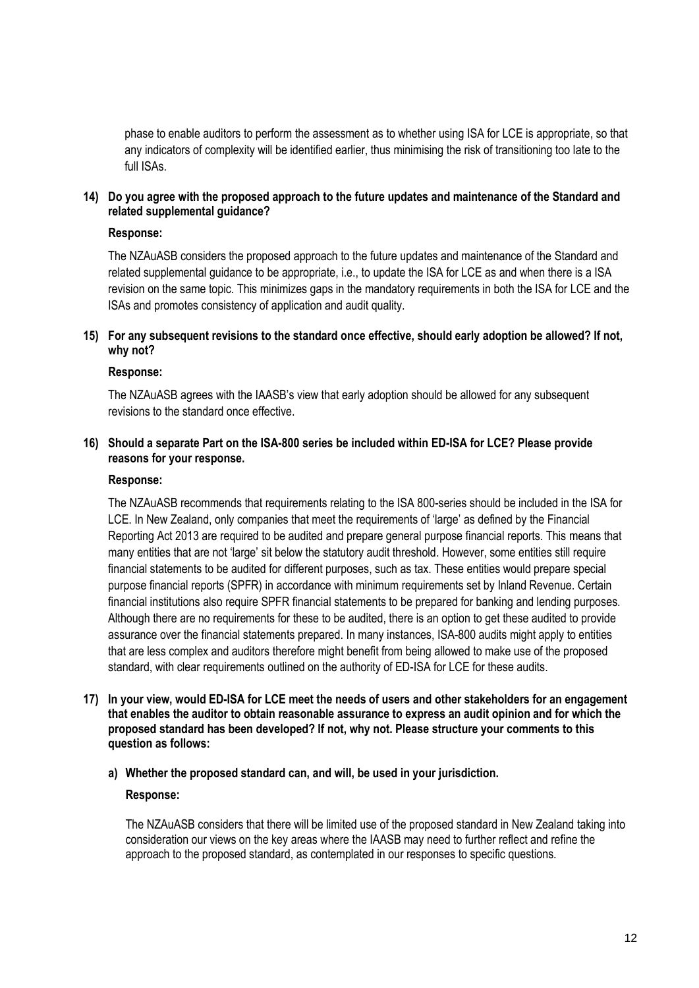phase to enable auditors to perform the assessment as to whether using ISA for LCE is appropriate, so that any indicators of complexity will be identified earlier, thus minimising the risk of transitioning too late to the full ISAs.

# **14) Do you agree with the proposed approach to the future updates and maintenance of the Standard and related supplemental guidance?**

## **Response:**

The NZAuASB considers the proposed approach to the future updates and maintenance of the Standard and related supplemental guidance to be appropriate, i.e., to update the ISA for LCE as and when there is a ISA revision on the same topic. This minimizes gaps in the mandatory requirements in both the ISA for LCE and the ISAs and promotes consistency of application and audit quality.

## **15) For any subsequent revisions to the standard once effective, should early adoption be allowed? If not, why not?**

## **Response:**

The NZAuASB agrees with the IAASB's view that early adoption should be allowed for any subsequent revisions to the standard once effective.

# **16) Should a separate Part on the ISA-800 series be included within ED-ISA for LCE? Please provide reasons for your response.**

## **Response:**

The NZAuASB recommends that requirements relating to the ISA 800-series should be included in the ISA for LCE. In New Zealand, only companies that meet the requirements of 'large' as defined by the Financial Reporting Act 2013 are required to be audited and prepare general purpose financial reports. This means that many entities that are not 'large' sit below the statutory audit threshold. However, some entities still require financial statements to be audited for different purposes, such as tax. These entities would prepare special purpose financial reports (SPFR) in accordance with minimum requirements set by Inland Revenue. Certain financial institutions also require SPFR financial statements to be prepared for banking and lending purposes. Although there are no requirements for these to be audited, there is an option to get these audited to provide assurance over the financial statements prepared. In many instances, ISA-800 audits might apply to entities that are less complex and auditors therefore might benefit from being allowed to make use of the proposed standard, with clear requirements outlined on the authority of ED-ISA for LCE for these audits.

- **17) In your view, would ED-ISA for LCE meet the needs of users and other stakeholders for an engagement that enables the auditor to obtain reasonable assurance to express an audit opinion and for which the proposed standard has been developed? If not, why not. Please structure your comments to this question as follows:**
	- **a) Whether the proposed standard can, and will, be used in your jurisdiction.**

#### **Response:**

The NZAuASB considers that there will be limited use of the proposed standard in New Zealand taking into consideration our views on the key areas where the IAASB may need to further reflect and refine the approach to the proposed standard, as contemplated in our responses to specific questions.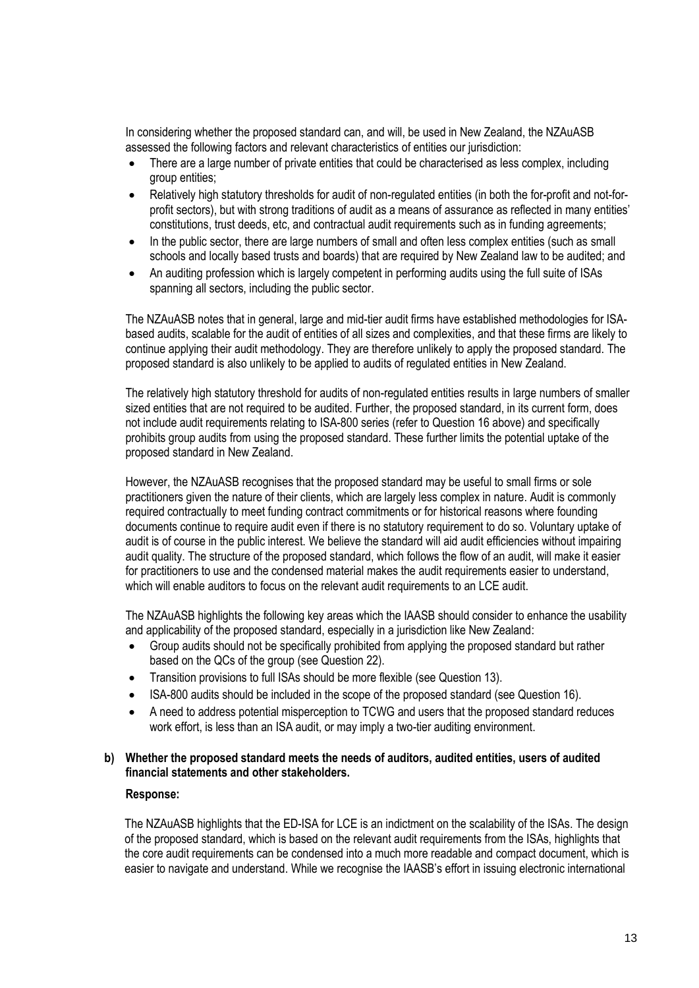In considering whether the proposed standard can, and will, be used in New Zealand, the NZAuASB assessed the following factors and relevant characteristics of entities our jurisdiction:

- There are a large number of private entities that could be characterised as less complex, including group entities;
- Relatively high statutory thresholds for audit of non-regulated entities (in both the for-profit and not-forprofit sectors), but with strong traditions of audit as a means of assurance as reflected in many entities' constitutions, trust deeds, etc, and contractual audit requirements such as in funding agreements;
- In the public sector, there are large numbers of small and often less complex entities (such as small schools and locally based trusts and boards) that are required by New Zealand law to be audited; and
- An auditing profession which is largely competent in performing audits using the full suite of ISAs spanning all sectors, including the public sector.

The NZAuASB notes that in general, large and mid-tier audit firms have established methodologies for ISAbased audits, scalable for the audit of entities of all sizes and complexities, and that these firms are likely to continue applying their audit methodology. They are therefore unlikely to apply the proposed standard. The proposed standard is also unlikely to be applied to audits of regulated entities in New Zealand.

The relatively high statutory threshold for audits of non-regulated entities results in large numbers of smaller sized entities that are not required to be audited. Further, the proposed standard, in its current form, does not include audit requirements relating to ISA-800 series (refer to Question 16 above) and specifically prohibits group audits from using the proposed standard. These further limits the potential uptake of the proposed standard in New Zealand.

However, the NZAuASB recognises that the proposed standard may be useful to small firms or sole practitioners given the nature of their clients, which are largely less complex in nature. Audit is commonly required contractually to meet funding contract commitments or for historical reasons where founding documents continue to require audit even if there is no statutory requirement to do so. Voluntary uptake of audit is of course in the public interest. We believe the standard will aid audit efficiencies without impairing audit quality. The structure of the proposed standard, which follows the flow of an audit, will make it easier for practitioners to use and the condensed material makes the audit requirements easier to understand, which will enable auditors to focus on the relevant audit requirements to an LCE audit.

The NZAuASB highlights the following key areas which the IAASB should consider to enhance the usability and applicability of the proposed standard, especially in a jurisdiction like New Zealand:

- Group audits should not be specifically prohibited from applying the proposed standard but rather based on the QCs of the group (see Question 22).
- Transition provisions to full ISAs should be more flexible (see Question 13).
- ISA-800 audits should be included in the scope of the proposed standard (see Question 16).
- A need to address potential misperception to TCWG and users that the proposed standard reduces work effort, is less than an ISA audit, or may imply a two-tier auditing environment.

## **b) Whether the proposed standard meets the needs of auditors, audited entities, users of audited financial statements and other stakeholders.**

## **Response:**

The NZAuASB highlights that the ED-ISA for LCE is an indictment on the scalability of the ISAs. The design of the proposed standard, which is based on the relevant audit requirements from the ISAs, highlights that the core audit requirements can be condensed into a much more readable and compact document, which is easier to navigate and understand. While we recognise the IAASB's effort in issuing electronic international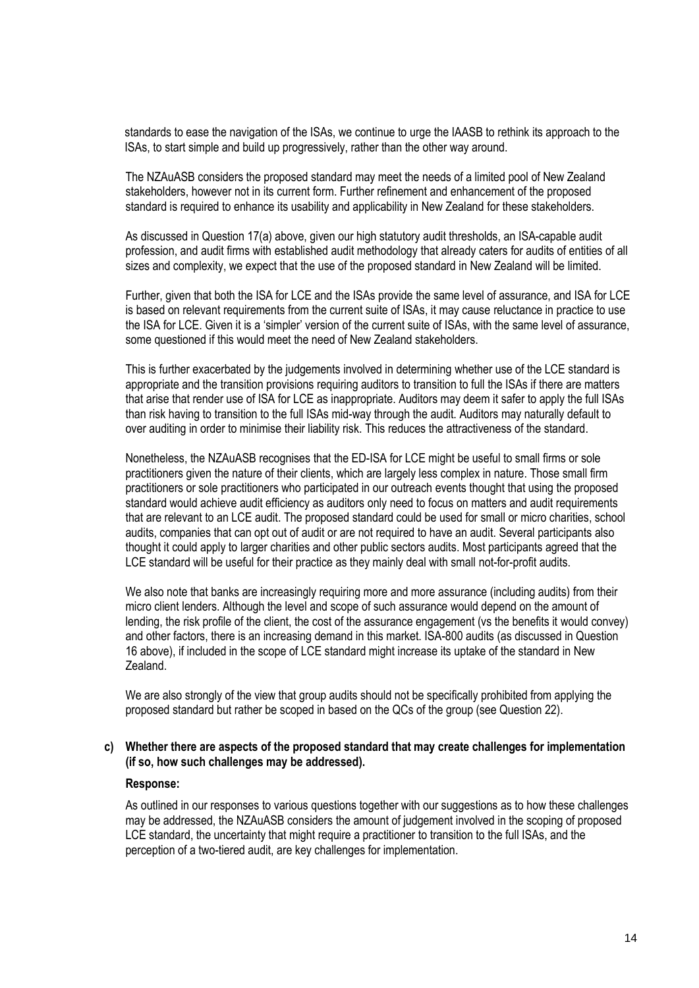standards to ease the navigation of the ISAs, we continue to urge the IAASB to rethink its approach to the ISAs, to start simple and build up progressively, rather than the other way around.

The NZAuASB considers the proposed standard may meet the needs of a limited pool of New Zealand stakeholders, however not in its current form. Further refinement and enhancement of the proposed standard is required to enhance its usability and applicability in New Zealand for these stakeholders.

As discussed in Question 17(a) above, given our high statutory audit thresholds, an ISA-capable audit profession, and audit firms with established audit methodology that already caters for audits of entities of all sizes and complexity, we expect that the use of the proposed standard in New Zealand will be limited.

Further, given that both the ISA for LCE and the ISAs provide the same level of assurance, and ISA for LCE is based on relevant requirements from the current suite of ISAs, it may cause reluctance in practice to use the ISA for LCE. Given it is a 'simpler' version of the current suite of ISAs, with the same level of assurance, some questioned if this would meet the need of New Zealand stakeholders.

This is further exacerbated by the judgements involved in determining whether use of the LCE standard is appropriate and the transition provisions requiring auditors to transition to full the ISAs if there are matters that arise that render use of ISA for LCE as inappropriate. Auditors may deem it safer to apply the full ISAs than risk having to transition to the full ISAs mid-way through the audit. Auditors may naturally default to over auditing in order to minimise their liability risk. This reduces the attractiveness of the standard.

Nonetheless, the NZAuASB recognises that the ED-ISA for LCE might be useful to small firms or sole practitioners given the nature of their clients, which are largely less complex in nature. Those small firm practitioners or sole practitioners who participated in our outreach events thought that using the proposed standard would achieve audit efficiency as auditors only need to focus on matters and audit requirements that are relevant to an LCE audit. The proposed standard could be used for small or micro charities, school audits, companies that can opt out of audit or are not required to have an audit. Several participants also thought it could apply to larger charities and other public sectors audits. Most participants agreed that the LCE standard will be useful for their practice as they mainly deal with small not-for-profit audits.

We also note that banks are increasingly requiring more and more assurance (including audits) from their micro client lenders. Although the level and scope of such assurance would depend on the amount of lending, the risk profile of the client, the cost of the assurance engagement (vs the benefits it would convey) and other factors, there is an increasing demand in this market. ISA-800 audits (as discussed in Question 16 above), if included in the scope of LCE standard might increase its uptake of the standard in New Zealand.

We are also strongly of the view that group audits should not be specifically prohibited from applying the proposed standard but rather be scoped in based on the QCs of the group (see Question 22).

#### **c) Whether there are aspects of the proposed standard that may create challenges for implementation (if so, how such challenges may be addressed).**

#### **Response:**

As outlined in our responses to various questions together with our suggestions as to how these challenges may be addressed, the NZAuASB considers the amount of judgement involved in the scoping of proposed LCE standard, the uncertainty that might require a practitioner to transition to the full ISAs, and the perception of a two-tiered audit, are key challenges for implementation.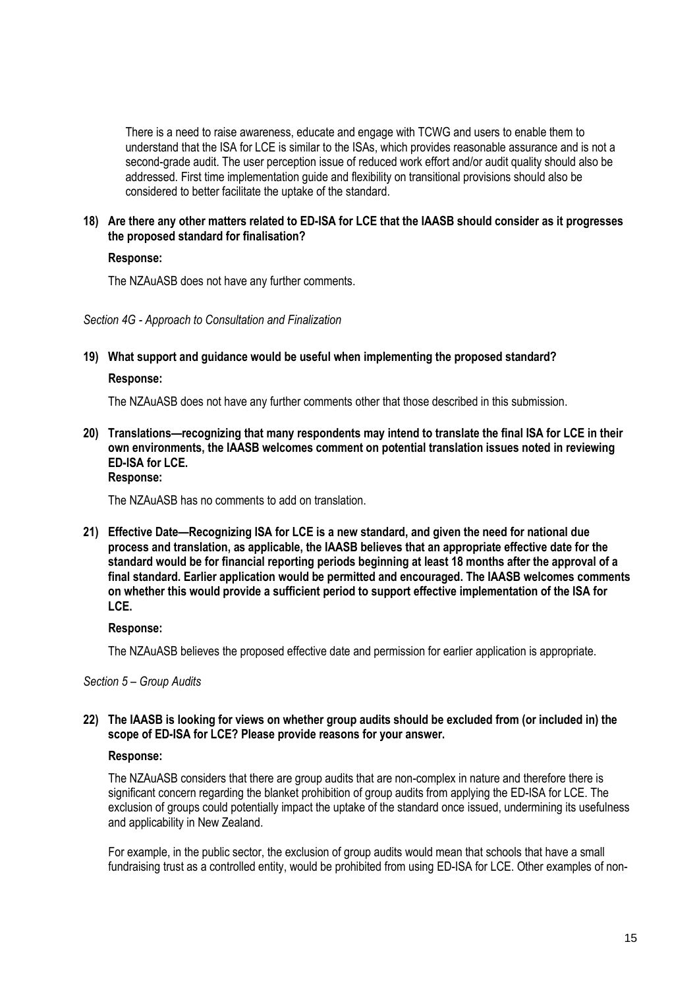There is a need to raise awareness, educate and engage with TCWG and users to enable them to understand that the ISA for LCE is similar to the ISAs, which provides reasonable assurance and is not a second-grade audit. The user perception issue of reduced work effort and/or audit quality should also be addressed. First time implementation guide and flexibility on transitional provisions should also be considered to better facilitate the uptake of the standard.

# **18) Are there any other matters related to ED-ISA for LCE that the IAASB should consider as it progresses the proposed standard for finalisation?**

# **Response:**

The NZAuASB does not have any further comments.

## *Section 4G - Approach to Consultation and Finalization*

# **19) What support and guidance would be useful when implementing the proposed standard?**

# **Response:**

The NZAuASB does not have any further comments other that those described in this submission.

**20) Translations—recognizing that many respondents may intend to translate the final ISA for LCE in their own environments, the IAASB welcomes comment on potential translation issues noted in reviewing ED-ISA for LCE.**

# **Response:**

The NZAuASB has no comments to add on translation.

**21) Effective Date—Recognizing ISA for LCE is a new standard, and given the need for national due process and translation, as applicable, the IAASB believes that an appropriate effective date for the standard would be for financial reporting periods beginning at least 18 months after the approval of a final standard. Earlier application would be permitted and encouraged. The IAASB welcomes comments on whether this would provide a sufficient period to support effective implementation of the ISA for LCE.**

# **Response:**

The NZAuASB believes the proposed effective date and permission for earlier application is appropriate.

#### *Section 5 – Group Audits*

**22) The IAASB is looking for views on whether group audits should be excluded from (or included in) the scope of ED-ISA for LCE? Please provide reasons for your answer.**

# **Response:**

The NZAuASB considers that there are group audits that are non-complex in nature and therefore there is significant concern regarding the blanket prohibition of group audits from applying the ED-ISA for LCE. The exclusion of groups could potentially impact the uptake of the standard once issued, undermining its usefulness and applicability in New Zealand.

For example, in the public sector, the exclusion of group audits would mean that schools that have a small fundraising trust as a controlled entity, would be prohibited from using ED-ISA for LCE. Other examples of non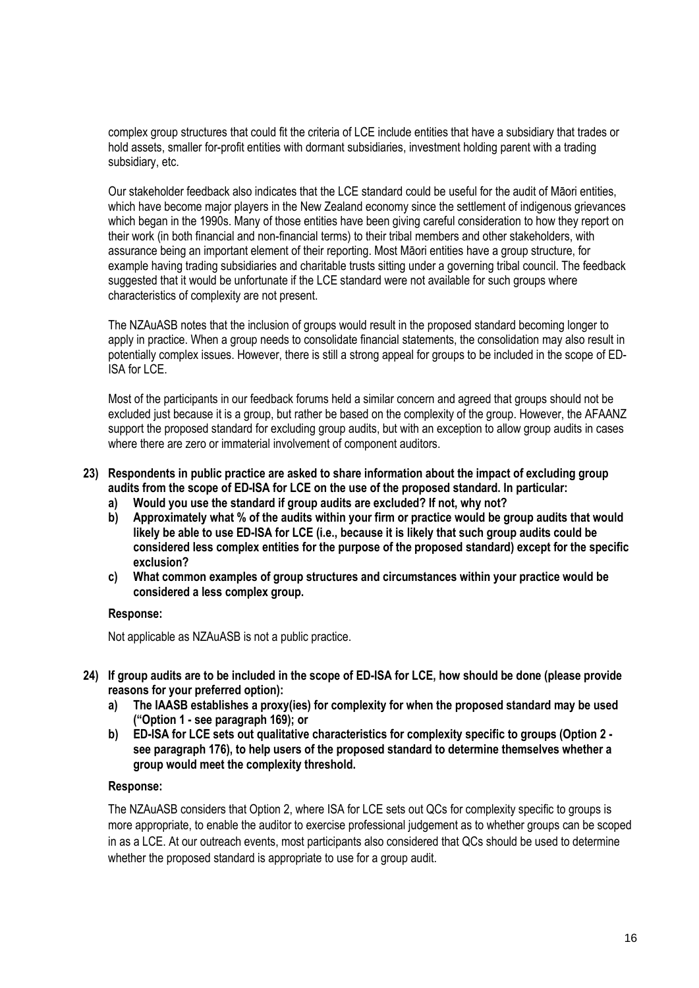complex group structures that could fit the criteria of LCE include entities that have a subsidiary that trades or hold assets, smaller for-profit entities with dormant subsidiaries, investment holding parent with a trading subsidiary, etc.

Our stakeholder feedback also indicates that the LCE standard could be useful for the audit of Māori entities, which have become major players in the New Zealand economy since the settlement of indigenous grievances which began in the 1990s. Many of those entities have been giving careful consideration to how they report on their work (in both financial and non-financial terms) to their tribal members and other stakeholders, with assurance being an important element of their reporting. Most Māori entities have a group structure, for example having trading subsidiaries and charitable trusts sitting under a governing tribal council. The feedback suggested that it would be unfortunate if the LCE standard were not available for such groups where characteristics of complexity are not present.

The NZAuASB notes that the inclusion of groups would result in the proposed standard becoming longer to apply in practice. When a group needs to consolidate financial statements, the consolidation may also result in potentially complex issues. However, there is still a strong appeal for groups to be included in the scope of ED-ISA for LCE.

Most of the participants in our feedback forums held a similar concern and agreed that groups should not be excluded just because it is a group, but rather be based on the complexity of the group. However, the AFAANZ support the proposed standard for excluding group audits, but with an exception to allow group audits in cases where there are zero or immaterial involvement of component auditors.

## **23) Respondents in public practice are asked to share information about the impact of excluding group audits from the scope of ED-ISA for LCE on the use of the proposed standard. In particular:**

- **a) Would you use the standard if group audits are excluded? If not, why not?**
- **b) Approximately what % of the audits within your firm or practice would be group audits that would likely be able to use ED-ISA for LCE (i.e., because it is likely that such group audits could be considered less complex entities for the purpose of the proposed standard) except for the specific exclusion?**
- **c) What common examples of group structures and circumstances within your practice would be considered a less complex group.**

#### **Response:**

Not applicable as NZAuASB is not a public practice.

- **24) If group audits are to be included in the scope of ED-ISA for LCE, how should be done (please provide reasons for your preferred option):**
	- **a) The IAASB establishes a proxy(ies) for complexity for when the proposed standard may be used ("Option 1 - see paragraph 169); or**
	- **b) ED-ISA for LCE sets out qualitative characteristics for complexity specific to groups (Option 2 see paragraph 176), to help users of the proposed standard to determine themselves whether a group would meet the complexity threshold.**

# **Response:**

The NZAuASB considers that Option 2, where ISA for LCE sets out QCs for complexity specific to groups is more appropriate, to enable the auditor to exercise professional judgement as to whether groups can be scoped in as a LCE. At our outreach events, most participants also considered that QCs should be used to determine whether the proposed standard is appropriate to use for a group audit.